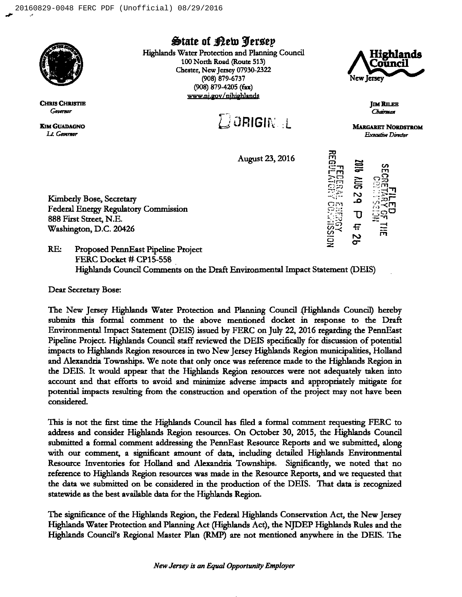

**CHRIS CHRISTIE** Governor

**KIM GUADAGNO** Lt. Governor

**State of Rew Jersey** 

Highlands Water Protection and Planning Council 100 North Road (Route 513) Chester, New Jersey 07930-2322 (908) 879-6737 (908) 879-4205 (fax) www.nj.gov/njhighlands





**IM RILEE** Chairman

 $\overline{\mathtt{U}}$ 

**MARGARET NORDSTROM Executive Director** 

**August 23, 2016** 

Kimberly Bose, Secretary **Federal Energy Regulatory Commission** 888 First Street, N.E. Washington, D.C. 20426

 $RE$ Proposed PennEast Pipeline Project FERC Docket # CP15-558 Highlands Council Comments on the Draft Environmental Impact Statement (DEIS)

Dear Secretary Bose:

The New Jersey Highlands Water Protection and Planning Council (Highlands Council) hereby submits this formal comment to the above mentioned docket in response to the Draft Environmental Impact Statement (DEIS) issued by FERC on July 22, 2016 regarding the PennEast Pipeline Project. Highlands Council staff reviewed the DEIS specifically for discussion of potential impacts to Highlands Region resources in two New Jersey Highlands Region municipalities, Holland and Alexandria Townships. We note that only once was reference made to the Highlands Region in the DEIS. It would appear that the Highlands Region resources were not adequately taken into account and that efforts to avoid and minimize adverse impacts and appropriately mitigate for potential impacts resulting from the construction and operation of the project may not have been considered.

This is not the first time the Highlands Council has filed a formal comment requesting FERC to address and consider Highlands Region resources. On October 30, 2015, the Highlands Council submitted a formal comment addressing the PennEast Resource Reports and we submitted, along with our comment, a significant amount of data, including detailed Highlands Environmental Resource Inventories for Holland and Alexandria Townships. Significantly, we noted that no reference to Highlands Region resources was made in the Resource Reports, and we requested that the data we submitted on be considered in the production of the DEIS. That data is recognized statewide as the best available data for the Highlands Region.

The significance of the Highlands Region, the Federal Highlands Conservation Act, the New Jersey Highlands Water Protection and Planning Act (Highlands Act), the NJDEP Highlands Rules and the Highlands Council's Regional Master Plan (RMP) are not mentioned anywhere in the DEIS. The

New Jersey is an Equal Opportunity Employer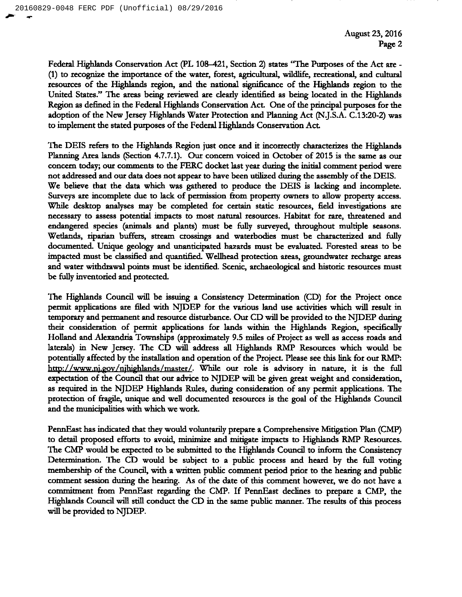Federal Highlands Conservation Act (PL 108-421, Section 2) states 'The Putposes of the Act are- (1) to recognize the importance of the water, forest, agricultural, wildlife, recreational, and cultural resources of the Highlands region, and the national significance of the Highlands region to the United States." The areas being reviewed are clearly identified as being located in the Highlands Region as defined in the Federal Highlands Conservation Act. One of the principal purposes for the adoption of the New Jersey Highlands Water Protection and Planning Act (N.J.S.A. C.13:20-2) was to implement the stated purposes of the Federal Highlands Conservation Act.

The DEIS refers to the Highlands Region just once and it incorrectly characterizes the Highlands Planning Area lands (Secrion 4.7.7.1). Our concern voiced in October of 2015 is the same as our concern today; our comments to the FERC docket last year duting the initial comment period were not addressed and our data does not appear to have been utilized during the assembly of the DEIS. We believe that the data which was gathered to produce the DEIS is lacking and incomplete. Surveys are incomplete due to lack of permission from property owners to allow property access. While desktop analyses may be completed for certain static resources, field investigations are necessary to assess potential impacts to most natural resoutces. Habitat for rare, threatened and endangered species (animals and plants) must be fully surveyed, throughout multiple seasons. Wetlands, riparian buffers, stream ctossings and watetbodies must be characterized and fully documented. Unique geology and unanticipated hazards must be evaluated. Forested areas to be impacted must be classified and quantified. Wellhead protection areas, groundwater recharge areas and water withdrawal points must be identified. Scenic, archaeological and historic resources must be fully inventoried and protected.

The Highlands Council will be issuing a Consistency Determination (CD) for the Project once permit applications are 6led with NJDEP for the various land use activities which will result in temporary and permanent and resource distutbance. Our CD will be provided to the NJDEP during their consideration of permit applications for lands within the Highlands Region, specifically Holland and Alexandria Townships (approximateiy 9.5 miles of Project as well as access roads and laterals) in New Jersey. The CD will address all Highlands RMP Resources which would be potentially affected by the installation and operation of the Project. Please see this link for our RMP: http://www.ni.gov/nihighlands/master/. While our role is advisory in nature, it is the full expectation of the Council that our advice to NJDEP will be given great weight and consideration, as requited in the NJDEP Highlands Rules, during consideration of any permit applications. The protection of fragile, unique and well documented resources is the goal of the Highlands Council and the municipalities with which we work.

PennEast has indicated that they would voluntarily prepare a Comprehensive Mitigation Plan (CMP) to detail proposed efforts to avoid, minimize and mitigate impacts to Highlands RMP Resources. The CMP would be expected to be submitted to the Highlands Council to inform the Consistency Determination. The CD would be subject to a public process and heard by the full voting membership of the Council, with a written public comment period prior to the hearing and public comment session during the hearing. As of the date of this comment however, we do not have a commitment from PennEast regarding the CMP. If PennEast declines to prepare a CMP, the Highlands Council will still conduct the CD in the same public manner. The results of this process will be provided to NJDEP.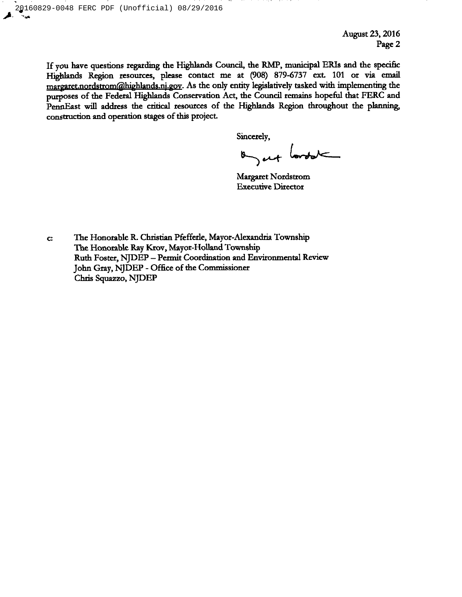August 23, 2016 Page 2

If you have questions regatding the Highlands Council, the RMP, municipal ERIs and the specific Highlands Region resources, please contact me at (908) 879-6737 ext. 101 or via email margaret.nordstrom@highlands.nj.gov. As the only entity legislatively tasked with implementing the purposes of the Federal Highlands Conservation Act, the Council remains hopeful that FERC and PennEast will address the cntical resources of the Highlands Region throughout the planning, construction and operation stages of this project.

Sincerely,

on at lordat

Margaret Nordstrom Executive Ditector

The Honorable R. Christian Pfefferle, Mayor-Alexandria Township C: The Honorable Ray Ktov, Mayor-Holland Township Ruth Foster, NJDEP —Permit Coordination and Environmental Review John Gray, NJDEP - Office of the Commissioner Chris Squazzo, NJDEP